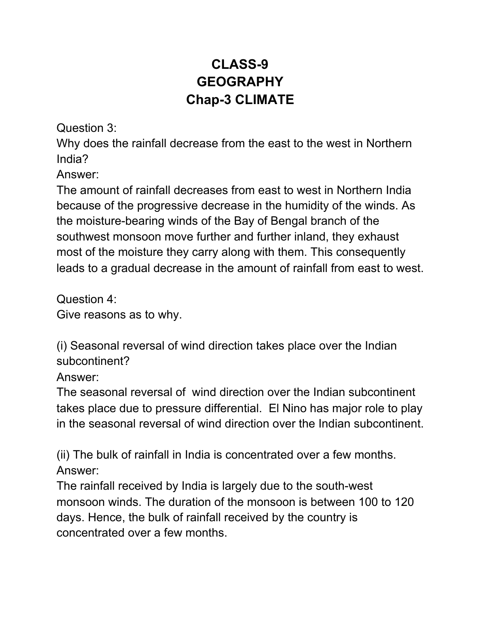## **CLASS-9 GEOGRAPHY Chap-3 CLIMATE**

Question 3:

Why does the rainfall decrease from the east to the west in Northern India?

Answer:

The amount of rainfall decreases from east to west in Northern India because of the progressive decrease in the humidity of the winds. As the moisture-bearing winds of the Bay of Bengal branch of the southwest monsoon move further and further inland, they exhaust most of the moisture they carry along with them. This consequently leads to a gradual decrease in the amount of rainfall from east to west.

Question 4: Give reasons as to why.

(i) Seasonal reversal of wind direction takes place over the Indian subcontinent?

Answer:

The seasonal reversal of wind direction over the Indian subcontinent takes place due to pressure differential. El Nino has major role to play in the seasonal reversal of wind direction over the Indian subcontinent.

(ii) The bulk of rainfall in India is concentrated over a few months. Answer:

The rainfall received by India is largely due to the south-west monsoon winds. The duration of the monsoon is between 100 to 120 days. Hence, the bulk of rainfall received by the country is concentrated over a few months.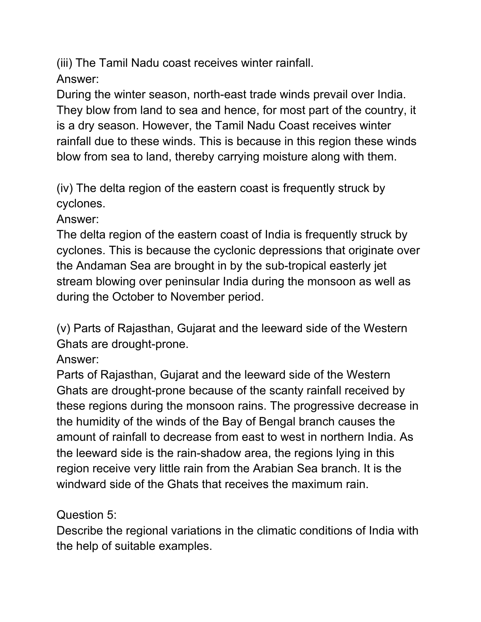(iii) The Tamil Nadu coast receives winter rainfall. Answer:

During the winter season, north-east trade winds prevail over India. They blow from land to sea and hence, for most part of the country, it is a dry season. However, the Tamil Nadu Coast receives winter rainfall due to these winds. This is because in this region these winds blow from sea to land, thereby carrying moisture along with them.

(iv) The delta region of the eastern coast is frequently struck by cyclones.

Answer:

The delta region of the eastern coast of India is frequently struck by cyclones. This is because the cyclonic depressions that originate over the Andaman Sea are brought in by the sub-tropical easterly jet stream blowing over peninsular India during the monsoon as well as during the October to November period.

(v) Parts of Rajasthan, Gujarat and the leeward side of the Western Ghats are drought-prone.

Answer:

Parts of Rajasthan, Gujarat and the leeward side of the Western Ghats are drought-prone because of the scanty rainfall received by these regions during the monsoon rains. The progressive decrease in the humidity of the winds of the Bay of Bengal branch causes the amount of rainfall to decrease from east to west in northern India. As the leeward side is the rain-shadow area, the regions lying in this region receive very little rain from the Arabian Sea branch. It is the windward side of the Ghats that receives the maximum rain.

Question 5:

Describe the regional variations in the climatic conditions of India with the help of suitable examples.